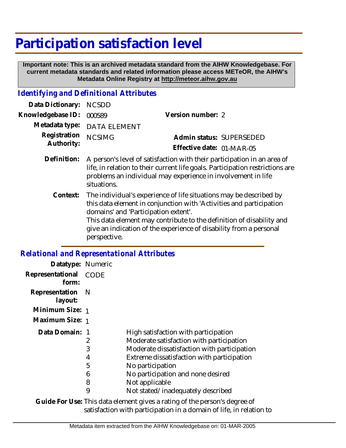# **Participation satisfaction level**

 **Important note: This is an archived metadata standard from the AIHW Knowledgebase. For current metadata standards and related information please access METeOR, the AIHW's Metadata Online Registry at http://meteor.aihw.gov.au**

### *Identifying and Definitional Attributes*

| Data Dictionary: NCSDD            |                                                                                                                                                                                                                                                                                                                                                                                                                                                                                                                                                                                   |                           |                          |
|-----------------------------------|-----------------------------------------------------------------------------------------------------------------------------------------------------------------------------------------------------------------------------------------------------------------------------------------------------------------------------------------------------------------------------------------------------------------------------------------------------------------------------------------------------------------------------------------------------------------------------------|---------------------------|--------------------------|
| Knowledgebase ID: 000589          |                                                                                                                                                                                                                                                                                                                                                                                                                                                                                                                                                                                   | Version number: 2         |                          |
|                                   | Metadata type: DATA ELEMENT                                                                                                                                                                                                                                                                                                                                                                                                                                                                                                                                                       |                           |                          |
| Registration NCSIMG<br>Authority: |                                                                                                                                                                                                                                                                                                                                                                                                                                                                                                                                                                                   |                           | Admin status: SUPERSEDED |
|                                   |                                                                                                                                                                                                                                                                                                                                                                                                                                                                                                                                                                                   | Effective date: 01-MAR-05 |                          |
|                                   | Definition: A person's level of satisfaction with their participation in an area of<br>$\mathbf{H} \bullet \mathbf{H} = \mathbf{H} \bullet \mathbf{H} + \mathbf{H} \bullet \mathbf{H} + \mathbf{H} \bullet \mathbf{H} + \mathbf{H} \bullet \mathbf{H} + \mathbf{H} \bullet \mathbf{H} + \mathbf{H} \bullet \mathbf{H} + \mathbf{H} \bullet \mathbf{H} + \mathbf{H} \bullet \mathbf{H} + \mathbf{H} \bullet \mathbf{H} + \mathbf{H} \bullet \mathbf{H} + \mathbf{H} \bullet \mathbf{H} + \mathbf{H} \bullet \mathbf{H} + \mathbf{H} \bullet \mathbf{H} + \mathbf{H} \bullet \math$ |                           |                          |

- life, in relation to their current life goals. Participation restrictions are problems an individual may experience in involvement in life situations.
	- The individual's experience of life situations may be described by this data element in conjunction with 'Activities and participation domains' and 'Participation extent'. **Context:**

This data element may contribute to the definition of disability and give an indication of the experience of disability from a personal perspective.

## *Relational and Representational Attributes*

| Datatype: Numeric         |      |                                             |
|---------------------------|------|---------------------------------------------|
| Representational<br>form: | CODE |                                             |
| Representation<br>layout: | - N  |                                             |
| Minimum Size: 1           |      |                                             |
| Maximum Size: 1           |      |                                             |
| Data Domain: 1            |      | High satisfaction with participation        |
|                           | 2    | Moderate satisfaction with participation    |
|                           | 3    | Moderate dissatisfaction with participation |
|                           | 4    | Extreme dissatisfaction with participation  |
|                           | 5    | No participation                            |
|                           | 6    | No participation and none desired           |
|                           | 8    | Not applicable                              |
|                           | 9    | Not stated/inadequately described           |

Guide For Use: This data element gives a rating of the person's degree of satisfaction with participation in a domain of life, in relation to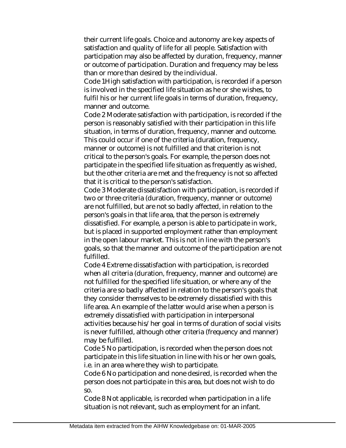their current life goals. Choice and autonomy are key aspects of satisfaction and quality of life for all people. Satisfaction with participation may also be affected by duration, frequency, manner or outcome of participation. Duration and frequency may be less than or more than desired by the individual.

Code 1High satisfaction with participation, is recorded if a person is involved in the specified life situation as he or she wishes, to fulfil his or her current life goals in terms of duration, frequency, manner and outcome.

Code 2 Moderate satisfaction with participation, is recorded if the person is reasonably satisfied with their participation in this life situation, in terms of duration, frequency, manner and outcome. This could occur if one of the criteria (duration, frequency, manner or outcome) is not fulfilled and that criterion is not critical to the person's goals. For example, the person does not participate in the specified life situation as frequently as wished, but the other criteria are met and the frequency is not so affected that it is critical to the person's satisfaction.

Code 3 Moderate dissatisfaction with participation, is recorded if two or three criteria (duration, frequency, manner or outcome) are not fulfilled, but are not so badly affected, in relation to the person's goals in that life area, that the person is extremely dissatisfied. For example, a person is able to participate in work, but is placed in supported employment rather than employment in the open labour market. This is not in line with the person's goals, so that the manner and outcome of the participation are not fulfilled.

Code 4 Extreme dissatisfaction with participation, is recorded when all criteria (duration, frequency, manner and outcome) are not fulfilled for the specified life situation, or where any of the criteria are so badly affected in relation to the person's goals that they consider themselves to be extremely dissatisfied with this life area. An example of the latter would arise when a person is extremely dissatisfied with participation in interpersonal activities because his/her goal in terms of duration of social visits is never fulfilled, although other criteria (frequency and manner) may be fulfilled.

Code 5 No participation, is recorded when the person does not participate in this life situation in line with his or her own goals, i.e. in an area where they wish to participate.

Code 6 No participation and none desired, is recorded when the person does not participate in this area, but does not wish to do so.

Code 8 Not applicable, is recorded when participation in a life situation is not relevant, such as employment for an infant.